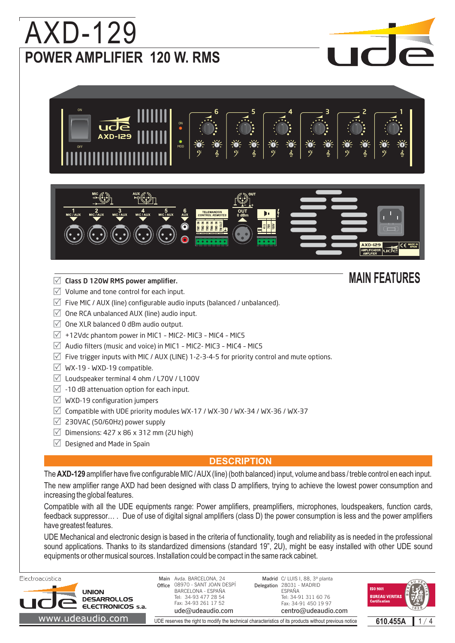# **POWER AMPLIFIER 120 W. RMS** AXD-129





### **The Class D 120W RMS power amplifier.** And the class of the MAIN FEATURES

- $\sqrt{ }$  Volume and tone control for each input.
- $\overline{\vee}$  Five MIC / AUX (line) configurable audio inputs (balanced / unbalanced).
- $\overline{\vee}$  One RCA unbalanced AUX (line) audio input.
- $\sqrt{ }$  One XLR balanced 0 dBm audio output.
- $\sqrt{ }$  +12Vdc phantom power in MIC1 MIC2- MIC3 MIC4 MIC5
- $\triangledown$  Audio filters (music and voice) in MIC1 MIC2- MIC3 MIC4 MIC5
- $\triangledown$  Five trigger inputs with MIC / AUX (LINE) 1-2-3-4-5 for priority control and mute options.
- $\boxtimes$  WX-19 WXD-19 compatible.
- $\sqrt{2}$  Loudspeaker terminal 4 ohm / L70V / L100V
- $\sqrt{2}$  -10 dB attenuation option for each input.
- $\vee$  WXD-19 configuration jumpers
- $\triangledown$  Compatible with UDE priority modules WX-17 / WX-30 / WX-34 / WX-36 / WX-37
- $\vee$  230VAC (50/60Hz) power supply
- $\triangledown$  Dimensions: 427 x 86 x 312 mm (2U high)
- $\vee$  Designed and Made in Spain

#### **DESCRIPTION**

The **AXD-129** amplifier have five configurable MIC / AUX (line) (both balanced) input, volume and bass / treble control en each input. The new amplifier range AXD had been designed with class D amplifiers, trying to achieve the lowest power consumption and increasing the global features.

Compatible with all the UDE equipments range: Power amplifiers, preamplifiers, microphones, loudspeakers, function cards, feedback suppressor… . Due of use of digital signal amplifiers (class D) the power consumption is less and the power amplifiers have greatest features.

UDE Mechanical and electronic design is based in the criteria of functionality, tough and reliability as is needed in the professional sound applications. Thanks to its standardized dimensions (standard 19", 2U), might be easy installed with other UDE sound equipments or other musical sources. Installation could be compact in the same rack cabinet.

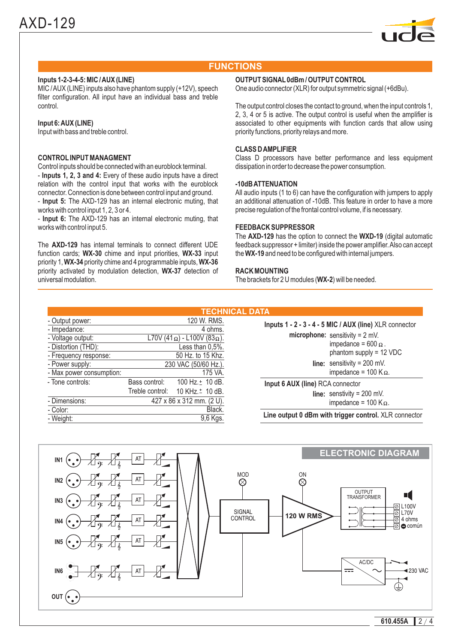

#### **FUNCTIONS**

#### **Inputs 1-2-3-4-5: MIC /AUX (LINE)**

MIC /AUX (LINE) inputs also have phantom supply (+12V), speech filter configuration. All input have an individual bass and treble control.

#### **Input 6:AUX (LINE)**

Input with bass and treble control.

#### **CONTROL INPUT MANAGMENT**

**Inputs 1, 2, 3 and 4:** - Every of these audio inputs have a direct - Input 5: The AXD-129 has an internal electronic muting, that Control inputs should be connected with an euroblock terminal. relation with the control input that works with the euroblock connector. Connection is done between control input and ground. works with control input 1, 2, 3 or 4.

- Input 6: The AXD-129 has an internal electronic muting, that works with control input 5.

The **AXD-129** has internal terminals to connect different UDE function cards; WX-30 chime and input priorities, WX-33 input priority 1, **WX-34** priority chime and 4 programmable inputs, **WX-36** priority activated by modulation detection, WX-37 detection of universal modulation.

#### **OUTPUT SIGNAL 0dBm / OUTPUT CONTROL**

One audio connector (XLR) for output symmetric signal (+6dBu).

The output control closes the contact to ground, when the input controls 1, 2, 3, 4 or 5 is active. The output control is useful when the amplifier is associated to other equipments with function cards that allow using priority functions, priority relays and more.

#### **CLASS DAMPLIFIER**

Class D processors have better performance and less equipment dissipation in order to decrease the power consumption.

#### **-10dBATTENUATION**

All audio inputs (1 to 6) can have the configuration with jumpers to apply an additional attenuation of -10dB. This feature in order to have a more precise regulation of the frontal control volume, if is necessary.

#### **FEEDBACK SUPPRESSOR**

The **AXD-129** has the option to connect the WXD-19 (digital automatic the WX-19 and need to be configured with internal jumpers. feedback suppressor + limiter) inside the power amplifier.Also can accept

#### **RACK MOUNTING**

The brackets for 2 U modules (WX-2) will be needed.

|                          |                           |                                             | <b>TECHNICAL DATA</b> |
|--------------------------|---------------------------|---------------------------------------------|-----------------------|
| - Output power:          |                           | 120 W. RMS.                                 | In                    |
| - Impedance:             |                           | 4 ohms.                                     |                       |
| - Voltage output:        |                           | L70V (41 $\Omega$ ) - L100V (83 $\Omega$ ). |                       |
| - Distortion (THD):      |                           | Less than 0,5%.                             |                       |
| - Frequency response:    |                           | 50 Hz. to 15 Khz.                           |                       |
| - Power supply:          | 230 VAC (50/60 Hz.).      |                                             |                       |
| - Max power consumption: |                           | 175 VA.                                     |                       |
| - Tone controls:         | Bass control:             | 100 Hz. $\pm$ 10 dB.                        | In                    |
|                          |                           | Treble control: 10 KHz. <sup>+</sup> 10 dB. |                       |
| - Dimensions:            | 427 x 86 x 312 mm. (2 U). |                                             |                       |
| - Color:                 |                           | Black.                                      |                       |
| - Weight:                |                           | 9,6 Kgs.                                    | Li                    |
|                          |                           |                                             |                       |

**microphone:** sensitivity = 2 mV. impedance = 600  $\Omega$ . phantom supply = 12 VDC **line:** sensitivity = 200 mV. impedance = 100 K $\Omega$ . **Inputs 1 - 2 - 3 - 4 - 5 MIC / AUX (line)** XLR connector

**line:** senstivity = 200 mV. **Input 6 AUX (line)** RCA connector

impedance = 100 K $\Omega$ .

**Line output 0 dBm with trigger control.** XLR connector

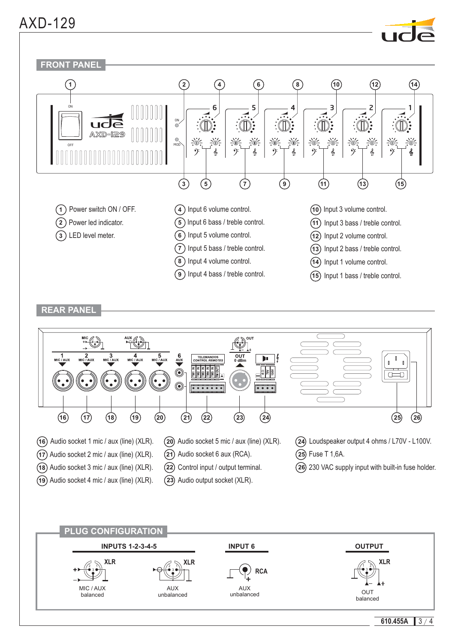### AXD-129

**16 17 18**

**19** Audio socket 4 mic / aux (line) (XLR).

Audio socket 1 mic / aux (line) (XLR). **16 17** Audio socket 2 mic / aux (line) (XLR). **18** Audio socket 3 mic / aux (line) (XLR).







**20** Audio socket 5 mic / aux (line) (XLR).

**21** Audio socket 6 aux (RCA). **22** Control input / output terminal. **23** Audio output socket (XLR).

**19 20 21 22 23 24 25 26**

**24** Loudspeaker output 4 ohms / L70V - L100V.

**26** 230 VAC supply input with built-in fuse holder.

**25** Fuse T 1,6A.